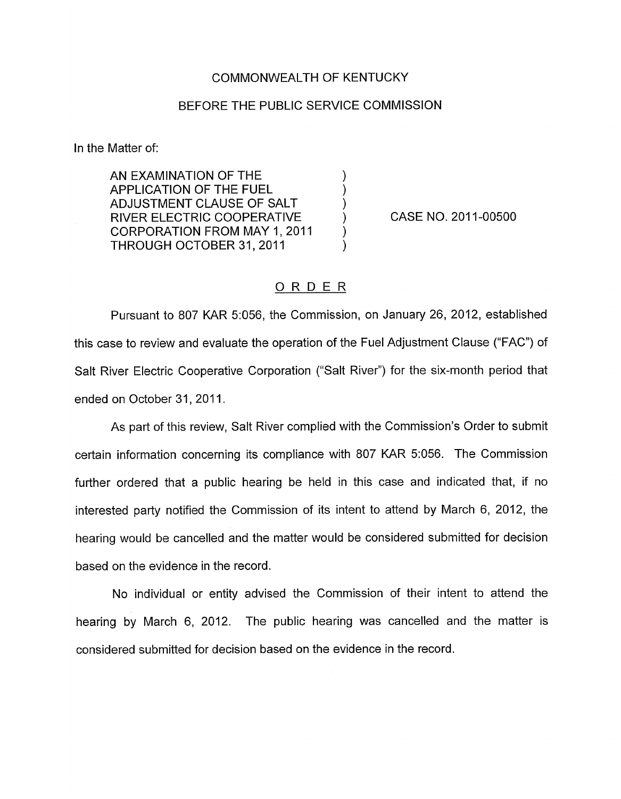## COMMONWEALTH OF KENTUCKY

## BEFORE THE PUBLIC SERVICE COMMISSION

In the Matter of:

AN EXAMINATION OF THE APPLICATION OF THE FUEL (1)<br>ADJUSTMENT CLAUSE OF SALT (1) ADJUSTMENT CLAUSE OF SALT  $)$ <br>RIVER ELECTRIC COOPERATIVE RIVER ELECTRIC COOPERATIVE CORPORATION FROM MAY 1, 2011 THROUGH OCTOBER 31, 2011

CASE NO. 2011-00500

## ORDER

Pursuant to 807 KAR 5:056, the Commission, on January 26, 2012, established this case to review and evaluate the operation of the Fuel Adjustment Clause ("FAC") of Salt River Electric Cooperative Corporation ("Salt River") for the six-month period that ended on October 31, 2011.

As part of this review, Salt River complied with the Commission's Order to submit certain information concerning its compliance with 807 KAR 5:056. The Commission further ordered that a public hearing be held in this case and indicated that, if no interested party notified the Commission of its intent to attend by March 6, 2012, the hearing would be cancelled and the matter would be considered submitted for decision based on the evidence in the record.

No individual or entity advised the Commission of their intent to attend the hearing by March 6, 2012. The public hearing was cancelled and the matter is considered submitted for decision based on the evidence in the record.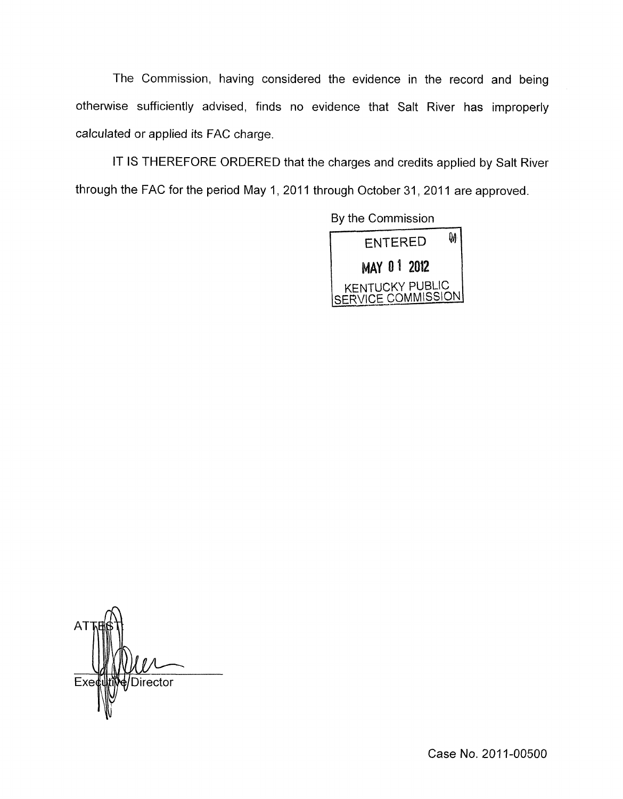The Commission, having considered the evidence in the record and being otherwise sufficiently advised, finds no evidence that Salt River has improperly calculated or applied its FAC charge.

IT IS THEREFORE ORDERED that the charges and credits applied by Salt River through the FAC for the period May 1, 2011 through October 31, 2011 are approved.

> By the Commission  $\mathbf{\hat{M}}$ **ENTERED** MAY 01 2012 **KENTUCKY PUBLIC** VICE COMMISSION



Case **No.** 201 1-00500